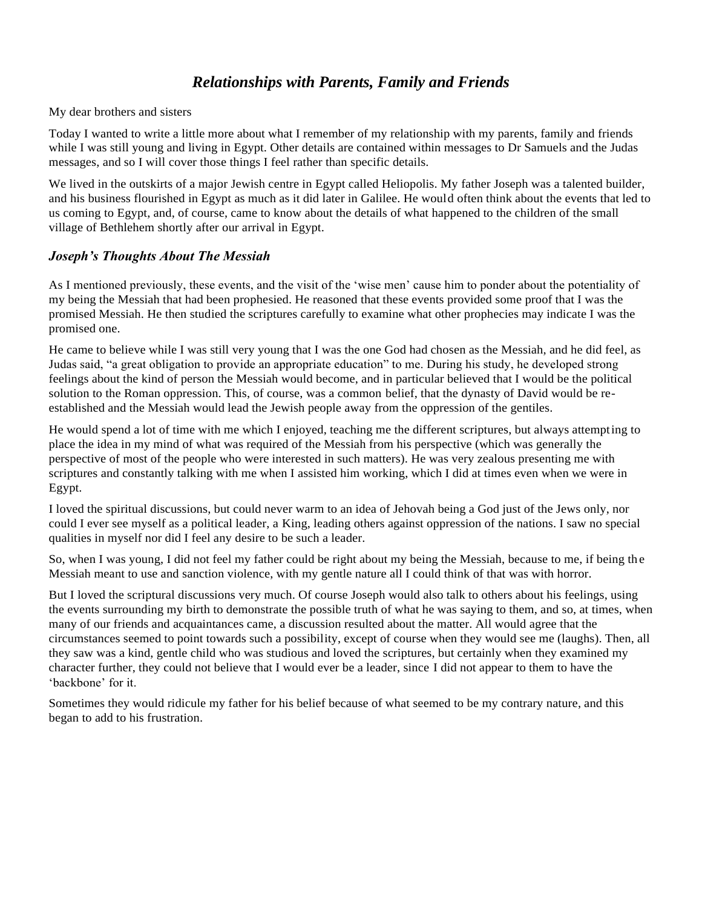# *Relationships with Parents, Family and Friends*

My dear brothers and sisters

Today I wanted to write a little more about what I remember of my relationship with my parents, family and friends while I was still young and living in Egypt. Other details are contained within messages to Dr Samuels and the Judas messages, and so I will cover those things I feel rather than specific details.

We lived in the outskirts of a major Jewish centre in Egypt called Heliopolis. My father Joseph was a talented builder, and his business flourished in Egypt as much as it did later in Galilee. He would often think about the events that led to us coming to Egypt, and, of course, came to know about the details of what happened to the children of the small village of Bethlehem shortly after our arrival in Egypt.

#### *Joseph's Thoughts About The Messiah*

As I mentioned previously, these events, and the visit of the 'wise men' cause him to ponder about the potentiality of my being the Messiah that had been prophesied. He reasoned that these events provided some proof that I was the promised Messiah. He then studied the scriptures carefully to examine what other prophecies may indicate I was the promised one.

He came to believe while I was still very young that I was the one God had chosen as the Messiah, and he did feel, as Judas said, "a great obligation to provide an appropriate education" to me. During his study, he developed strong feelings about the kind of person the Messiah would become, and in particular believed that I would be the political solution to the Roman oppression. This, of course, was a common belief, that the dynasty of David would be reestablished and the Messiah would lead the Jewish people away from the oppression of the gentiles.

He would spend a lot of time with me which I enjoyed, teaching me the different scriptures, but always attempting to place the idea in my mind of what was required of the Messiah from his perspective (which was generally the perspective of most of the people who were interested in such matters). He was very zealous presenting me with scriptures and constantly talking with me when I assisted him working, which I did at times even when we were in Egypt.

I loved the spiritual discussions, but could never warm to an idea of Jehovah being a God just of the Jews only, nor could I ever see myself as a political leader, a King, leading others against oppression of the nations. I saw no special qualities in myself nor did I feel any desire to be such a leader.

So, when I was young, I did not feel my father could be right about my being the Messiah, because to me, if being the Messiah meant to use and sanction violence, with my gentle nature all I could think of that was with horror.

But I loved the scriptural discussions very much. Of course Joseph would also talk to others about his feelings, using the events surrounding my birth to demonstrate the possible truth of what he was saying to them, and so, at times, when many of our friends and acquaintances came, a discussion resulted about the matter. All would agree that the circumstances seemed to point towards such a possibility, except of course when they would see me (laughs). Then, all they saw was a kind, gentle child who was studious and loved the scriptures, but certainly when they examined my character further, they could not believe that I would ever be a leader, since I did not appear to them to have the 'backbone' for it.

Sometimes they would ridicule my father for his belief because of what seemed to be my contrary nature, and this began to add to his frustration.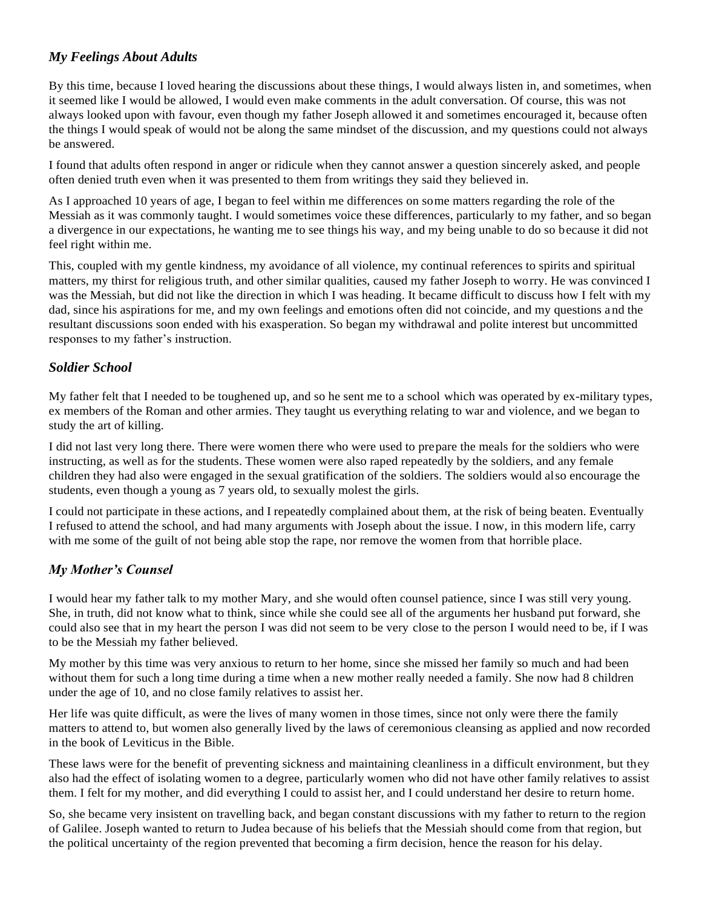### *My Feelings About Adults*

By this time, because I loved hearing the discussions about these things, I would always listen in, and sometimes, when it seemed like I would be allowed, I would even make comments in the adult conversation. Of course, this was not always looked upon with favour, even though my father Joseph allowed it and sometimes encouraged it, because often the things I would speak of would not be along the same mindset of the discussion, and my questions could not always be answered.

I found that adults often respond in anger or ridicule when they cannot answer a question sincerely asked, and people often denied truth even when it was presented to them from writings they said they believed in.

As I approached 10 years of age, I began to feel within me differences on some matters regarding the role of the Messiah as it was commonly taught. I would sometimes voice these differences, particularly to my father, and so began a divergence in our expectations, he wanting me to see things his way, and my being unable to do so because it did not feel right within me.

This, coupled with my gentle kindness, my avoidance of all violence, my continual references to spirits and spiritual matters, my thirst for religious truth, and other similar qualities, caused my father Joseph to worry. He was convinced I was the Messiah, but did not like the direction in which I was heading. It became difficult to discuss how I felt with my dad, since his aspirations for me, and my own feelings and emotions often did not coincide, and my questions a nd the resultant discussions soon ended with his exasperation. So began my withdrawal and polite interest but uncommitted responses to my father's instruction.

#### *Soldier School*

My father felt that I needed to be toughened up, and so he sent me to a school which was operated by ex-military types, ex members of the Roman and other armies. They taught us everything relating to war and violence, and we began to study the art of killing.

I did not last very long there. There were women there who were used to prepare the meals for the soldiers who were instructing, as well as for the students. These women were also raped repeatedly by the soldiers, and any female children they had also were engaged in the sexual gratification of the soldiers. The soldiers would also encourage the students, even though a young as 7 years old, to sexually molest the girls.

I could not participate in these actions, and I repeatedly complained about them, at the risk of being beaten. Eventually I refused to attend the school, and had many arguments with Joseph about the issue. I now, in this modern life, carry with me some of the guilt of not being able stop the rape, nor remove the women from that horrible place.

#### *My Mother's Counsel*

I would hear my father talk to my mother Mary, and she would often counsel patience, since I was still very young. She, in truth, did not know what to think, since while she could see all of the arguments her husband put forward, she could also see that in my heart the person I was did not seem to be very close to the person I would need to be, if I was to be the Messiah my father believed.

My mother by this time was very anxious to return to her home, since she missed her family so much and had been without them for such a long time during a time when a new mother really needed a family. She now had 8 children under the age of 10, and no close family relatives to assist her.

Her life was quite difficult, as were the lives of many women in those times, since not only were there the family matters to attend to, but women also generally lived by the laws of ceremonious cleansing as applied and now recorded in the book of Leviticus in the Bible.

These laws were for the benefit of preventing sickness and maintaining cleanliness in a difficult environment, but they also had the effect of isolating women to a degree, particularly women who did not have other family relatives to assist them. I felt for my mother, and did everything I could to assist her, and I could understand her desire to return home.

So, she became very insistent on travelling back, and began constant discussions with my father to return to the region of Galilee. Joseph wanted to return to Judea because of his beliefs that the Messiah should come from that region, but the political uncertainty of the region prevented that becoming a firm decision, hence the reason for his delay.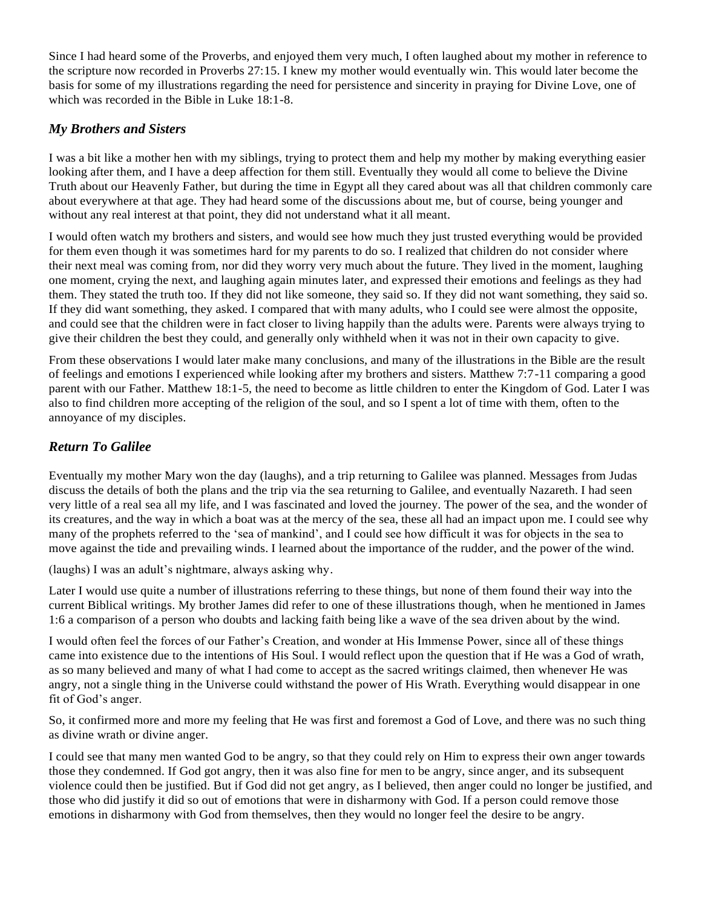Since I had heard some of the Proverbs, and enjoyed them very much, I often laughed about my mother in reference to the scripture now recorded in Proverbs 27:15. I knew my mother would eventually win. This would later become the basis for some of my illustrations regarding the need for persistence and sincerity in praying for Divine Love, one of which was recorded in the Bible in Luke 18:1-8.

#### *My Brothers and Sisters*

I was a bit like a mother hen with my siblings, trying to protect them and help my mother by making everything easier looking after them, and I have a deep affection for them still. Eventually they would all come to believe the Divine Truth about our Heavenly Father, but during the time in Egypt all they cared about was all that children commonly care about everywhere at that age. They had heard some of the discussions about me, but of course, being younger and without any real interest at that point, they did not understand what it all meant.

I would often watch my brothers and sisters, and would see how much they just trusted everything would be provided for them even though it was sometimes hard for my parents to do so. I realized that children do not consider where their next meal was coming from, nor did they worry very much about the future. They lived in the moment, laughing one moment, crying the next, and laughing again minutes later, and expressed their emotions and feelings as they had them. They stated the truth too. If they did not like someone, they said so. If they did not want something, they said so. If they did want something, they asked. I compared that with many adults, who I could see were almost the opposite, and could see that the children were in fact closer to living happily than the adults were. Parents were always trying to give their children the best they could, and generally only withheld when it was not in their own capacity to give.

From these observations I would later make many conclusions, and many of the illustrations in the Bible are the result of feelings and emotions I experienced while looking after my brothers and sisters. Matthew 7:7-11 comparing a good parent with our Father. Matthew 18:1-5, the need to become as little children to enter the Kingdom of God. Later I was also to find children more accepting of the religion of the soul, and so I spent a lot of time with them, often to the annoyance of my disciples.

### *Return To Galilee*

Eventually my mother Mary won the day (laughs), and a trip returning to Galilee was planned. Messages from Judas discuss the details of both the plans and the trip via the sea returning to Galilee, and eventually Nazareth. I had seen very little of a real sea all my life, and I was fascinated and loved the journey. The power of the sea, and the wonder of its creatures, and the way in which a boat was at the mercy of the sea, these all had an impact upon me. I could see why many of the prophets referred to the 'sea of mankind', and I could see how difficult it was for objects in the sea to move against the tide and prevailing winds. I learned about the importance of the rudder, and the power of the wind.

(laughs) I was an adult's nightmare, always asking why.

Later I would use quite a number of illustrations referring to these things, but none of them found their way into the current Biblical writings. My brother James did refer to one of these illustrations though, when he mentioned in James 1:6 a comparison of a person who doubts and lacking faith being like a wave of the sea driven about by the wind.

I would often feel the forces of our Father's Creation, and wonder at His Immense Power, since all of these things came into existence due to the intentions of His Soul. I would reflect upon the question that if He was a God of wrath, as so many believed and many of what I had come to accept as the sacred writings claimed, then whenever He was angry, not a single thing in the Universe could withstand the power of His Wrath. Everything would disappear in one fit of God's anger.

So, it confirmed more and more my feeling that He was first and foremost a God of Love, and there was no such thing as divine wrath or divine anger.

I could see that many men wanted God to be angry, so that they could rely on Him to express their own anger towards those they condemned. If God got angry, then it was also fine for men to be angry, since anger, and its subsequent violence could then be justified. But if God did not get angry, as I believed, then anger could no longer be justified, and those who did justify it did so out of emotions that were in disharmony with God. If a person could remove those emotions in disharmony with God from themselves, then they would no longer feel the desire to be angry.